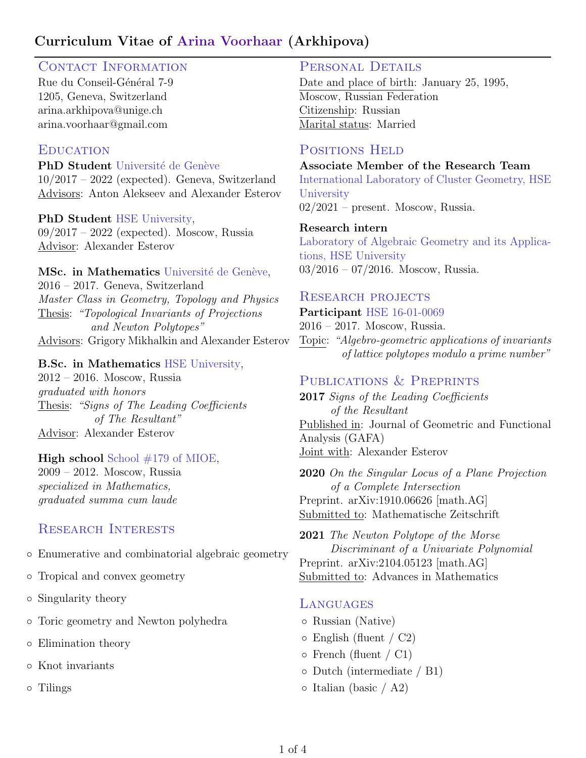## Curriculum Vitae of Arina Voorhaar (Arkhipova)

## CONTACT INFORMATION

Rue du Conseil-Général 7-9 1205, Geneva, Switzerland [arina.arkhipova@unige.ch](mailto:arina.arkhipova@unige.ch) [arina.voorhaar@gmail.com](mailto:arina.voorhaar@gmail.com)

#### **EDUCATION**

PhD Student Université de Genève  $10/2017 - 2022$  (expected). Geneva, Switzerland Advisors: [Anton Alekseev](http://https://www.unige.ch/math/en/people/alekseev/) and [Alexander Esterov](http://www.hse.ru/en/staff/esterov)

#### PhD Student [HSE University,](https://www.hse.ru/en/)

09/2017 – 2022 (expected). Moscow, Russia Advisor: [Alexander Esterov](http://www.hse.ru/en/staff/esterov)

#### MSc. in Mathematics Université de Genève,

2016 – 2017. Geneva, Switzerland [Master Class in Geometry, Topology and Physics](https://www.nccr-swissmap.ch/news-and-events/events-entry-container-1/master-class-geometry-topology-and-physics?occurrenceID=632) Thesis: "Topological Invariants of Projections and Newton Polytopes" Advisors: [Grigory Mikhalkin](http://www.unige.ch/math/en/people/mikhalkin/) and [Alexander Esterov](https://www.hse.ru/en/staff/esterov)

#### B.Sc. in Mathematics [HSE University,](http://www.hse.ru/en/)

2012 – 2016. Moscow, Russia graduated with honors Thesis: "Signs of The Leading Coefficients of The Resultant" Advisor: [Alexander Esterov](http://www.hse.ru/en/staff/esterov)

#### High school [School #179 of MIOE,](http://www.179.ru/)

2009 – 2012. Moscow, Russia specialized in Mathematics, graduated summa cum laude

## Research Interests

- Enumerative and combinatorial algebraic geometry
- Tropical and convex geometry
- Singularity theory
- Toric geometry and Newton polyhedra
- Elimination theory
- Knot invariants
- Tilings

#### PERSONAL DETAILS

Date and place of birth: January 25, 1995, Moscow, Russian Federation Citizenship: Russian Marital status: Married

### POSITIONS HELD

Associate Member of the Research Team International Laboratory of Cluster Geometry, HSE **University** 02/2021 – present. Moscow, Russia.

#### Research intern

Laboratory of Algebraic Geometry and its Applications, HSE University 03/2016 – 07/2016. Moscow, Russia.

#### RESEARCH PROJECTS

Participant HSE 16-01-0069

2016 – 2017. Moscow, Russia. Topic: "Algebro-geometric applications of invariants of lattice polytopes modulo a prime number"

## PUBLICATIONS & PREPRINTS

2017 Signs of the Leading Coefficients of the Resultant Published in: Journal of Geometric and Functional Analysis (GAFA) Joint with: Alexander Esterov

2020 On the Singular Locus of a Plane Projection of a Complete Intersection Preprint. arXiv:1910.06626 [math.AG] Submitted to: Mathematische Zeitschrift

2021 The Newton Polytope of the Morse Discriminant of a Univariate Polynomial Preprint. arXiv:2104.05123 [math.AG] Submitted to: Advances in Mathematics

#### **LANGUAGES**

- Russian (Native)
- $\circ$  English (fluent / C2)
- French (fluent / C1)
- Dutch (intermediate / B1)
- $\circ$  Italian (basic / A2)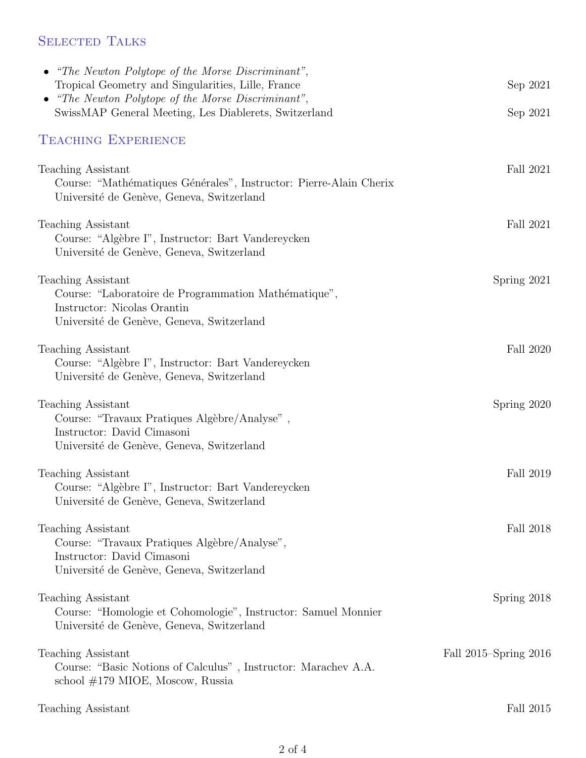# SELECTED TALKS

| • "The Newton Polytope of the Morse Discriminant",                                                              |                       |
|-----------------------------------------------------------------------------------------------------------------|-----------------------|
| Tropical Geometry and Singularities, Lille, France<br>• "The Newton Polytope of the Morse Discriminant",        | Sep 2021              |
| SwissMAP General Meeting, Les Diablerets, Switzerland                                                           | Sep 2021              |
| <b>TEACHING EXPERIENCE</b>                                                                                      |                       |
| Teaching Assistant                                                                                              | Fall 2021             |
| Course: "Mathématiques Générales", Instructor: Pierre-Alain Cherix<br>Université de Genève, Geneva, Switzerland |                       |
| Teaching Assistant                                                                                              | Fall 2021             |
| Course: "Algèbre I", Instructor: Bart Vandereycken<br>Université de Genève, Geneva, Switzerland                 |                       |
| Teaching Assistant                                                                                              | Spring 2021           |
| Course: "Laboratoire de Programmation Mathématique",<br>Instructor: Nicolas Orantin                             |                       |
| Université de Genève, Geneva, Switzerland                                                                       |                       |
| Teaching Assistant<br>Course: "Algèbre I", Instructor: Bart Vandereycken                                        | Fall 2020             |
| Université de Genève, Geneva, Switzerland                                                                       |                       |
| <b>Teaching Assistant</b>                                                                                       | Spring 2020           |
| Course: "Travaux Pratiques Algèbre/Analyse",<br>Instructor: David Cimasoni                                      |                       |
| Université de Genève, Geneva, Switzerland                                                                       |                       |
| <b>Teaching Assistant</b>                                                                                       | Fall 2019             |
| Course: "Algèbre I", Instructor: Bart Vandereycken<br>Université de Genève, Geneva, Switzerland                 |                       |
| Teaching Assistant                                                                                              | Fall 2018             |
| Course: "Travaux Pratiques Algèbre/Analyse",<br>Instructor: David Cimasoni                                      |                       |
| Université de Genève, Geneva, Switzerland                                                                       |                       |
| Teaching Assistant                                                                                              | Spring 2018           |
| Course: "Homologie et Cohomologie", Instructor: Samuel Monnier<br>Université de Genève, Geneva, Switzerland     |                       |
| Teaching Assistant                                                                                              | Fall 2015–Spring 2016 |
| Course: "Basic Notions of Calculus", Instructor: Marachev A.A.<br>school $\#179$ MIOE, Moscow, Russia           |                       |
| Teaching Assistant                                                                                              | Fall 2015             |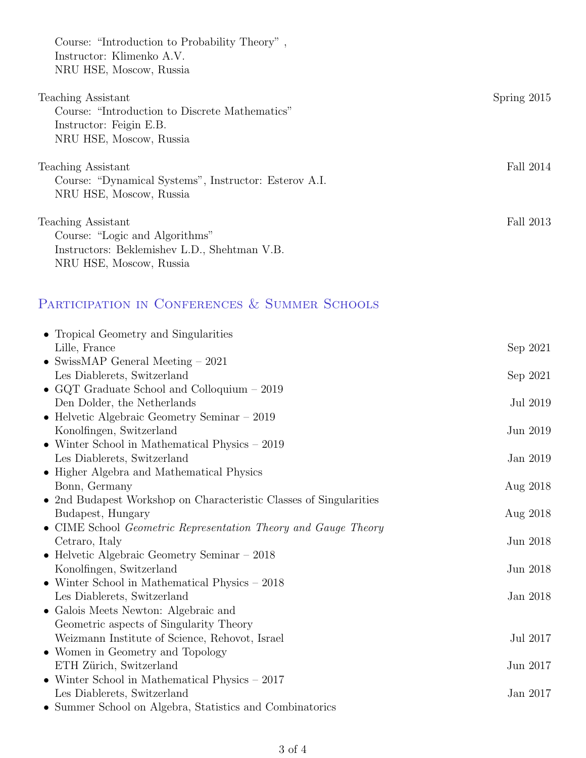| Spring $2015$ |
|---------------|
|               |
|               |
|               |
| Fall 2014     |
|               |
|               |
| Fall 2013     |
|               |
|               |
|               |
|               |

# PARTICIPATION IN CONFERENCES & SUMMER SCHOOLS

| • Tropical Geometry and Singularities                              |          |
|--------------------------------------------------------------------|----------|
| Lille, France                                                      | Sep 2021 |
| • SwissMAP General Meeting $-2021$                                 |          |
| Les Diablerets, Switzerland                                        | Sep 2021 |
| • GQT Graduate School and Colloquium $-2019$                       |          |
| Den Dolder, the Netherlands                                        | Jul 2019 |
| • Helvetic Algebraic Geometry Seminar $-2019$                      |          |
| Konolfingen, Switzerland                                           | Jun 2019 |
| $\bullet$ Winter School in Mathematical Physics $-2019$            |          |
| Les Diablerets, Switzerland                                        | Jan 2019 |
| • Higher Algebra and Mathematical Physics                          |          |
| Bonn, Germany                                                      | Aug 2018 |
| • 2nd Budapest Workshop on Characteristic Classes of Singularities |          |
| Budapest, Hungary                                                  | Aug 2018 |
| • CIME School Geometric Representation Theory and Gauge Theory     |          |
| Cetraro, Italy                                                     | Jun 2018 |
| • Helvetic Algebraic Geometry Seminar $-$ 2018                     |          |
| Konolfingen, Switzerland                                           | Jun 2018 |
| • Winter School in Mathematical Physics $-2018$                    |          |
| Les Diablerets, Switzerland                                        | Jan 2018 |
| • Galois Meets Newton: Algebraic and                               |          |
| Geometric aspects of Singularity Theory                            |          |
| Weizmann Institute of Science, Rehovot, Israel                     | Jul 2017 |
| • Women in Geometry and Topology                                   |          |
| ETH Zürich, Switzerland                                            | Jun 2017 |
| $\bullet$ Winter School in Mathematical Physics $-2017$            |          |
| Les Diablerets, Switzerland                                        | Jan 2017 |
| • Summer School on Algebra, Statistics and Combinatorics           |          |